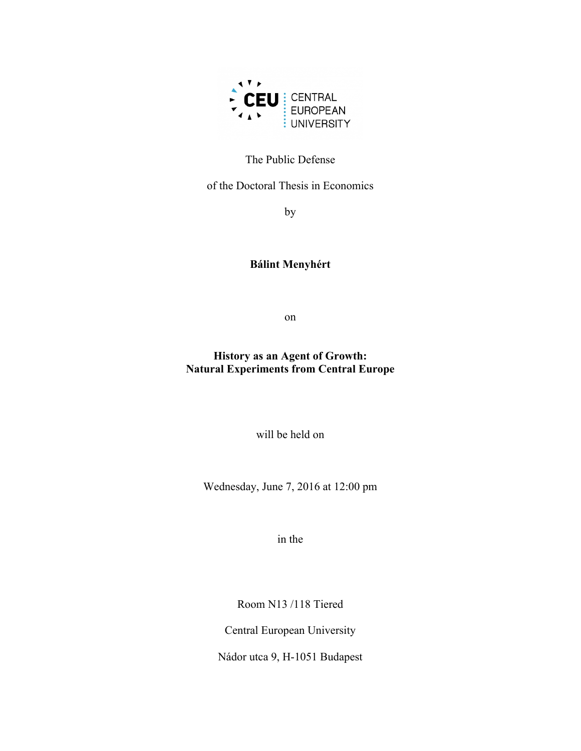

### The Public Defense

of the Doctoral Thesis in Economics

by

## **Bálint Menyhért**

on

**History as an Agent of Growth: Natural Experiments from Central Europe**

will be held on

Wednesday, June 7, 2016 at 12:00 pm

in the

Room N13 /118 Tiered

Central European University

Nádor utca 9, H-1051 Budapest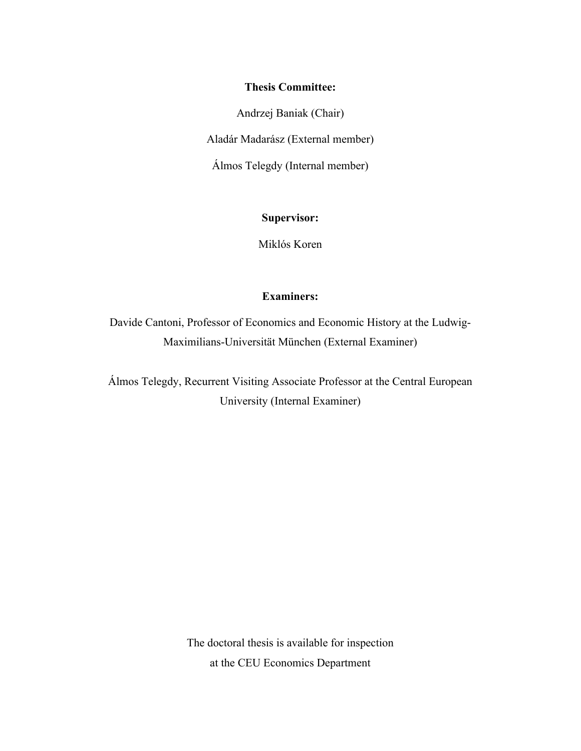#### **Thesis Committee:**

Andrzej Baniak (Chair)

Aladár Madarász (External member)

Álmos Telegdy (Internal member)

**Supervisor:**

Miklós Koren

### **Examiners:**

Davide Cantoni, Professor of Economics and Economic History at the Ludwig-Maximilians-Universität München (External Examiner)

Álmos Telegdy, Recurrent Visiting Associate Professor at the Central European University (Internal Examiner)

> The doctoral thesis is available for inspection at the CEU Economics Department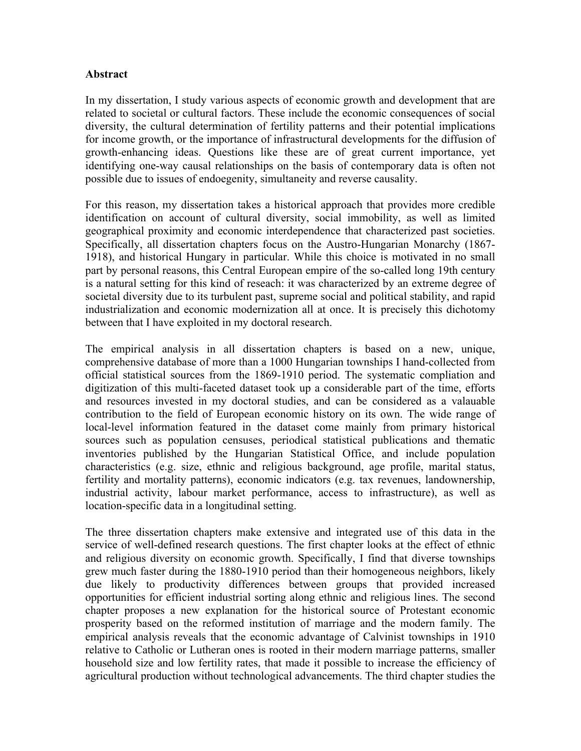### **Abstract**

In my dissertation, I study various aspects of economic growth and development that are related to societal or cultural factors. These include the economic consequences of social diversity, the cultural determination of fertility patterns and their potential implications for income growth, or the importance of infrastructural developments for the diffusion of growth-enhancing ideas. Questions like these are of great current importance, yet identifying one-way causal relationships on the basis of contemporary data is often not possible due to issues of endoegenity, simultaneity and reverse causality.

For this reason, my dissertation takes a historical approach that provides more credible identification on account of cultural diversity, social immobility, as well as limited geographical proximity and economic interdependence that characterized past societies. Specifically, all dissertation chapters focus on the Austro-Hungarian Monarchy (1867- 1918), and historical Hungary in particular. While this choice is motivated in no small part by personal reasons, this Central European empire of the so-called long 19th century is a natural setting for this kind of reseach: it was characterized by an extreme degree of societal diversity due to its turbulent past, supreme social and political stability, and rapid industrialization and economic modernization all at once. It is precisely this dichotomy between that I have exploited in my doctoral research.

The empirical analysis in all dissertation chapters is based on a new, unique, comprehensive database of more than a 1000 Hungarian townships I hand-collected from official statistical sources from the 1869-1910 period. The systematic compliation and digitization of this multi-faceted dataset took up a considerable part of the time, efforts and resources invested in my doctoral studies, and can be considered as a valauable contribution to the field of European economic history on its own. The wide range of local-level information featured in the dataset come mainly from primary historical sources such as population censuses, periodical statistical publications and thematic inventories published by the Hungarian Statistical Office, and include population characteristics (e.g. size, ethnic and religious background, age profile, marital status, fertility and mortality patterns), economic indicators (e.g. tax revenues, landownership, industrial activity, labour market performance, access to infrastructure), as well as location-specific data in a longitudinal setting.

The three dissertation chapters make extensive and integrated use of this data in the service of well-defined research questions. The first chapter looks at the effect of ethnic and religious diversity on economic growth. Specifically, I find that diverse townships grew much faster during the 1880-1910 period than their homogeneous neighbors, likely due likely to productivity differences between groups that provided increased opportunities for efficient industrial sorting along ethnic and religious lines. The second chapter proposes a new explanation for the historical source of Protestant economic prosperity based on the reformed institution of marriage and the modern family. The empirical analysis reveals that the economic advantage of Calvinist townships in 1910 relative to Catholic or Lutheran ones is rooted in their modern marriage patterns, smaller household size and low fertility rates, that made it possible to increase the efficiency of agricultural production without technological advancements. The third chapter studies the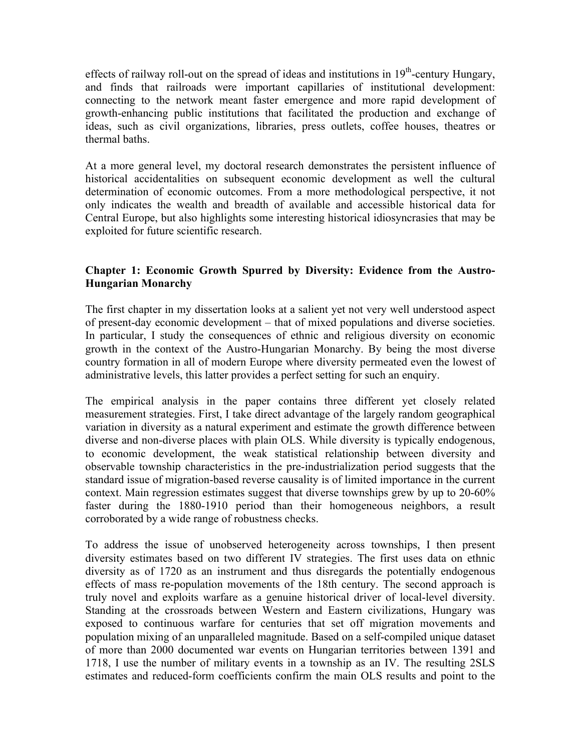effects of railway roll-out on the spread of ideas and institutions in  $19<sup>th</sup>$ -century Hungary, and finds that railroads were important capillaries of institutional development: connecting to the network meant faster emergence and more rapid development of growth-enhancing public institutions that facilitated the production and exchange of ideas, such as civil organizations, libraries, press outlets, coffee houses, theatres or thermal baths.

At a more general level, my doctoral research demonstrates the persistent influence of historical accidentalities on subsequent economic development as well the cultural determination of economic outcomes. From a more methodological perspective, it not only indicates the wealth and breadth of available and accessible historical data for Central Europe, but also highlights some interesting historical idiosyncrasies that may be exploited for future scientific research.

### **Chapter 1: Economic Growth Spurred by Diversity: Evidence from the Austro-Hungarian Monarchy**

The first chapter in my dissertation looks at a salient yet not very well understood aspect of present-day economic development – that of mixed populations and diverse societies. In particular, I study the consequences of ethnic and religious diversity on economic growth in the context of the Austro-Hungarian Monarchy. By being the most diverse country formation in all of modern Europe where diversity permeated even the lowest of administrative levels, this latter provides a perfect setting for such an enquiry.

The empirical analysis in the paper contains three different yet closely related measurement strategies. First, I take direct advantage of the largely random geographical variation in diversity as a natural experiment and estimate the growth difference between diverse and non-diverse places with plain OLS. While diversity is typically endogenous, to economic development, the weak statistical relationship between diversity and observable township characteristics in the pre-industrialization period suggests that the standard issue of migration-based reverse causality is of limited importance in the current context. Main regression estimates suggest that diverse townships grew by up to 20-60% faster during the 1880-1910 period than their homogeneous neighbors, a result corroborated by a wide range of robustness checks.

To address the issue of unobserved heterogeneity across townships, I then present diversity estimates based on two different IV strategies. The first uses data on ethnic diversity as of 1720 as an instrument and thus disregards the potentially endogenous effects of mass re-population movements of the 18th century. The second approach is truly novel and exploits warfare as a genuine historical driver of local-level diversity. Standing at the crossroads between Western and Eastern civilizations, Hungary was exposed to continuous warfare for centuries that set off migration movements and population mixing of an unparalleled magnitude. Based on a self-compiled unique dataset of more than 2000 documented war events on Hungarian territories between 1391 and 1718, I use the number of military events in a township as an IV. The resulting 2SLS estimates and reduced-form coefficients confirm the main OLS results and point to the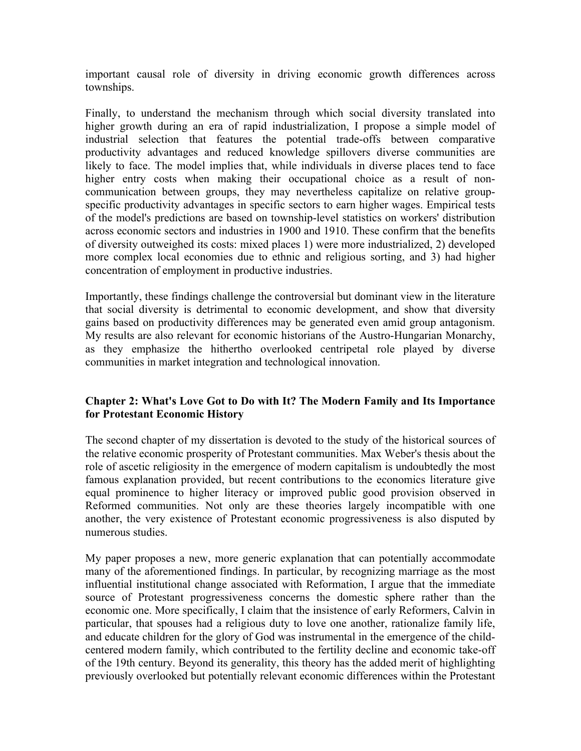important causal role of diversity in driving economic growth differences across townships.

Finally, to understand the mechanism through which social diversity translated into higher growth during an era of rapid industrialization, I propose a simple model of industrial selection that features the potential trade-offs between comparative productivity advantages and reduced knowledge spillovers diverse communities are likely to face. The model implies that, while individuals in diverse places tend to face higher entry costs when making their occupational choice as a result of noncommunication between groups, they may nevertheless capitalize on relative groupspecific productivity advantages in specific sectors to earn higher wages. Empirical tests of the model's predictions are based on township-level statistics on workers' distribution across economic sectors and industries in 1900 and 1910. These confirm that the benefits of diversity outweighed its costs: mixed places 1) were more industrialized, 2) developed more complex local economies due to ethnic and religious sorting, and 3) had higher concentration of employment in productive industries.

Importantly, these findings challenge the controversial but dominant view in the literature that social diversity is detrimental to economic development, and show that diversity gains based on productivity differences may be generated even amid group antagonism. My results are also relevant for economic historians of the Austro-Hungarian Monarchy, as they emphasize the hithertho overlooked centripetal role played by diverse communities in market integration and technological innovation.

## **Chapter 2: What's Love Got to Do with It? The Modern Family and Its Importance for Protestant Economic History**

The second chapter of my dissertation is devoted to the study of the historical sources of the relative economic prosperity of Protestant communities. Max Weber's thesis about the role of ascetic religiosity in the emergence of modern capitalism is undoubtedly the most famous explanation provided, but recent contributions to the economics literature give equal prominence to higher literacy or improved public good provision observed in Reformed communities. Not only are these theories largely incompatible with one another, the very existence of Protestant economic progressiveness is also disputed by numerous studies.

My paper proposes a new, more generic explanation that can potentially accommodate many of the aforementioned findings. In particular, by recognizing marriage as the most influential institutional change associated with Reformation, I argue that the immediate source of Protestant progressiveness concerns the domestic sphere rather than the economic one. More specifically, I claim that the insistence of early Reformers, Calvin in particular, that spouses had a religious duty to love one another, rationalize family life, and educate children for the glory of God was instrumental in the emergence of the childcentered modern family, which contributed to the fertility decline and economic take-off of the 19th century. Beyond its generality, this theory has the added merit of highlighting previously overlooked but potentially relevant economic differences within the Protestant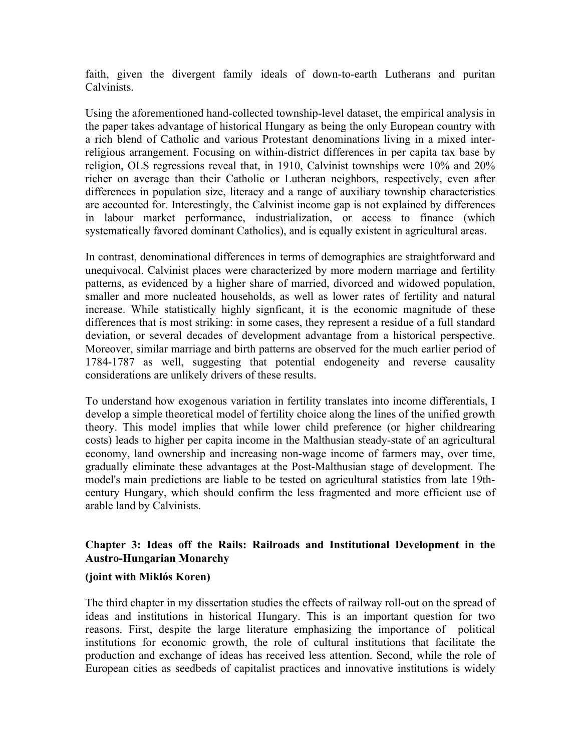faith, given the divergent family ideals of down-to-earth Lutherans and puritan Calvinists.

Using the aforementioned hand-collected township-level dataset, the empirical analysis in the paper takes advantage of historical Hungary as being the only European country with a rich blend of Catholic and various Protestant denominations living in a mixed interreligious arrangement. Focusing on within-district differences in per capita tax base by religion, OLS regressions reveal that, in 1910, Calvinist townships were 10% and 20% richer on average than their Catholic or Lutheran neighbors, respectively, even after differences in population size, literacy and a range of auxiliary township characteristics are accounted for. Interestingly, the Calvinist income gap is not explained by differences in labour market performance, industrialization, or access to finance (which systematically favored dominant Catholics), and is equally existent in agricultural areas.

In contrast, denominational differences in terms of demographics are straightforward and unequivocal. Calvinist places were characterized by more modern marriage and fertility patterns, as evidenced by a higher share of married, divorced and widowed population, smaller and more nucleated households, as well as lower rates of fertility and natural increase. While statistically highly signficant, it is the economic magnitude of these differences that is most striking: in some cases, they represent a residue of a full standard deviation, or several decades of development advantage from a historical perspective. Moreover, similar marriage and birth patterns are observed for the much earlier period of 1784-1787 as well, suggesting that potential endogeneity and reverse causality considerations are unlikely drivers of these results.

To understand how exogenous variation in fertility translates into income differentials, I develop a simple theoretical model of fertility choice along the lines of the unified growth theory. This model implies that while lower child preference (or higher childrearing costs) leads to higher per capita income in the Malthusian steady-state of an agricultural economy, land ownership and increasing non-wage income of farmers may, over time, gradually eliminate these advantages at the Post-Malthusian stage of development. The model's main predictions are liable to be tested on agricultural statistics from late 19thcentury Hungary, which should confirm the less fragmented and more efficient use of arable land by Calvinists.

### **Chapter 3: Ideas off the Rails: Railroads and Institutional Development in the Austro-Hungarian Monarchy**

### **(joint with Miklós Koren)**

The third chapter in my dissertation studies the effects of railway roll-out on the spread of ideas and institutions in historical Hungary. This is an important question for two reasons. First, despite the large literature emphasizing the importance of political institutions for economic growth, the role of cultural institutions that facilitate the production and exchange of ideas has received less attention. Second, while the role of European cities as seedbeds of capitalist practices and innovative institutions is widely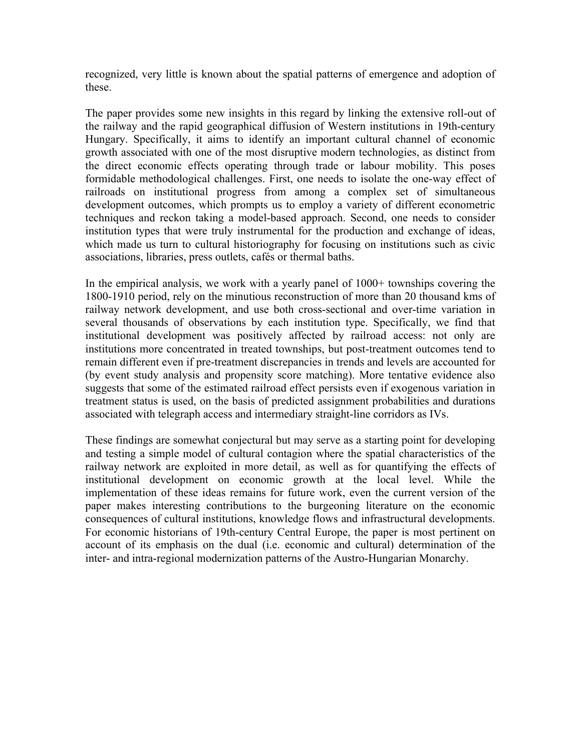recognized, very little is known about the spatial patterns of emergence and adoption of these.

The paper provides some new insights in this regard by linking the extensive roll-out of the railway and the rapid geographical diffusion of Western institutions in 19th-century Hungary. Specifically, it aims to identify an important cultural channel of economic growth associated with one of the most disruptive modern technologies, as distinct from the direct economic effects operating through trade or labour mobility. This poses formidable methodological challenges. First, one needs to isolate the one-way effect of railroads on institutional progress from among a complex set of simultaneous development outcomes, which prompts us to employ a variety of different econometric techniques and reckon taking a model-based approach. Second, one needs to consider institution types that were truly instrumental for the production and exchange of ideas, which made us turn to cultural historiography for focusing on institutions such as civic associations, libraries, press outlets, cafés or thermal baths.

In the empirical analysis, we work with a yearly panel of 1000+ townships covering the 1800-1910 period, rely on the minutious reconstruction of more than 20 thousand kms of railway network development, and use both cross-sectional and over-time variation in several thousands of observations by each institution type. Specifically, we find that institutional development was positively affected by railroad access: not only are institutions more concentrated in treated townships, but post-treatment outcomes tend to remain different even if pre-treatment discrepancies in trends and levels are accounted for (by event study analysis and propensity score matching). More tentative evidence also suggests that some of the estimated railroad effect persists even if exogenous variation in treatment status is used, on the basis of predicted assignment probabilities and durations associated with telegraph access and intermediary straight-line corridors as IVs.

These findings are somewhat conjectural but may serve as a starting point for developing and testing a simple model of cultural contagion where the spatial characteristics of the railway network are exploited in more detail, as well as for quantifying the effects of institutional development on economic growth at the local level. While the implementation of these ideas remains for future work, even the current version of the paper makes interesting contributions to the burgeoning literature on the economic consequences of cultural institutions, knowledge flows and infrastructural developments. For economic historians of 19th-century Central Europe, the paper is most pertinent on account of its emphasis on the dual (i.e. economic and cultural) determination of the inter- and intra-regional modernization patterns of the Austro-Hungarian Monarchy.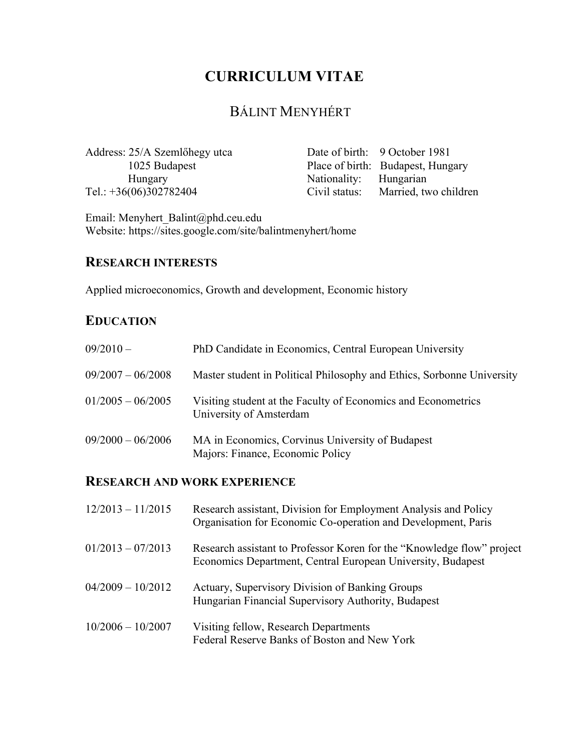# **CURRICULUM VITAE**

# BÁLINT MENYHÉRT

Address: 25/A Szemlőhegy utca 1025 Budapest Hungary Tel.: +36(06)302782404

Date of birth: 9 October 1981 Place of birth: Budapest, Hungary Nationality: Hungarian Civil status: Married, two children

Email: Menyhert\_Balint@phd.ceu.edu Website: https://sites.google.com/site/balintmenyhert/home

## **RESEARCH INTERESTS**

Applied microeconomics, Growth and development, Economic history

# **EDUCATION**

| $09/2010 -$         | PhD Candidate in Economics, Central European University                                  |
|---------------------|------------------------------------------------------------------------------------------|
| $09/2007 - 06/2008$ | Master student in Political Philosophy and Ethics, Sorbonne University                   |
| $01/2005 - 06/2005$ | Visiting student at the Faculty of Economics and Econometrics<br>University of Amsterdam |
| $09/2000 - 06/2006$ | MA in Economics, Corvinus University of Budapest<br>Majors: Finance, Economic Policy     |

## **RESEARCH AND WORK EXPERIENCE**

| $12/2013 - 11/2015$ | Research assistant, Division for Employment Analysis and Policy<br>Organisation for Economic Co-operation and Development, Paris      |
|---------------------|---------------------------------------------------------------------------------------------------------------------------------------|
| $01/2013 - 07/2013$ | Research assistant to Professor Koren for the "Knowledge flow" project<br>Economics Department, Central European University, Budapest |
| $04/2009 - 10/2012$ | Actuary, Supervisory Division of Banking Groups<br>Hungarian Financial Supervisory Authority, Budapest                                |
| $10/2006 - 10/2007$ | Visiting fellow, Research Departments<br>Federal Reserve Banks of Boston and New York                                                 |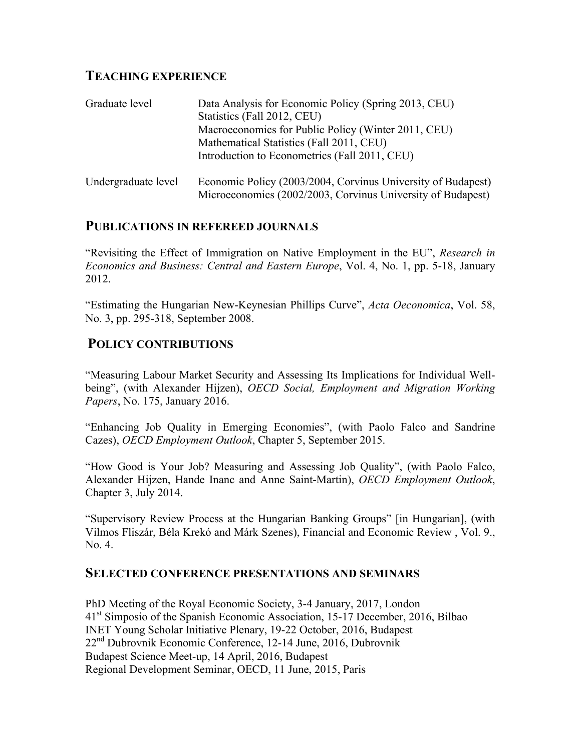# **TEACHING EXPERIENCE**

| Graduate level      | Data Analysis for Economic Policy (Spring 2013, CEU)         |
|---------------------|--------------------------------------------------------------|
|                     | Statistics (Fall 2012, CEU)                                  |
|                     | Macroeconomics for Public Policy (Winter 2011, CEU)          |
|                     | Mathematical Statistics (Fall 2011, CEU)                     |
|                     | Introduction to Econometrics (Fall 2011, CEU)                |
| Undergraduate level | Economic Policy (2003/2004, Corvinus University of Budapest) |
|                     | Microeconomics (2002/2003, Corvinus University of Budapest)  |

## **PUBLICATIONS IN REFEREED JOURNALS**

"Revisiting the Effect of Immigration on Native Employment in the EU", *Research in Economics and Business: Central and Eastern Europe*, Vol. 4, No. 1, pp. 5-18, January 2012.

"Estimating the Hungarian New-Keynesian Phillips Curve", *Acta Oeconomica*, Vol. 58, No. 3, pp. 295-318, September 2008.

# **POLICY CONTRIBUTIONS**

"Measuring Labour Market Security and Assessing Its Implications for Individual Wellbeing", (with Alexander Hijzen), *OECD Social, Employment and Migration Working Papers*, No. 175, January 2016.

"Enhancing Job Quality in Emerging Economies", (with Paolo Falco and Sandrine Cazes), *OECD Employment Outlook*, Chapter 5, September 2015.

"How Good is Your Job? Measuring and Assessing Job Quality", (with Paolo Falco, Alexander Hijzen, Hande Inanc and Anne Saint-Martin), *OECD Employment Outlook*, Chapter 3, July 2014.

"Supervisory Review Process at the Hungarian Banking Groups" [in Hungarian], (with Vilmos Fliszár, Béla Krekó and Márk Szenes), Financial and Economic Review , Vol. 9., No. 4.

## **SELECTED CONFERENCE PRESENTATIONS AND SEMINARS**

PhD Meeting of the Royal Economic Society, 3-4 January, 2017, London 41<sup>st</sup> Simposio of the Spanish Economic Association, 15-17 December, 2016, Bilbao INET Young Scholar Initiative Plenary, 19-22 October, 2016, Budapest 22nd Dubrovnik Economic Conference, 12-14 June, 2016, Dubrovnik Budapest Science Meet-up, 14 April, 2016, Budapest Regional Development Seminar, OECD, 11 June, 2015, Paris